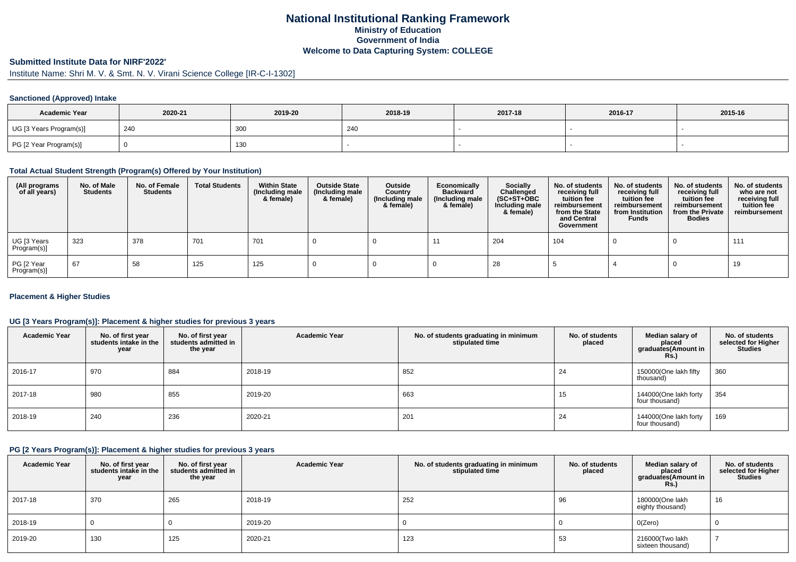## **National Institutional Ranking FrameworkMinistry of Education Government of IndiaWelcome to Data Capturing System: COLLEGE**

#### **Submitted Institute Data for NIRF'2022'**

# Institute Name: Shri M. V. & Smt. N. V. Virani Science College [IR-C-I-1302]

#### **Sanctioned (Approved) Intake**

| <b>Academic Year</b>    | 2020-21 | 2019-20 | 2018-19 | 2017-18 | 2016-17 | 2015-16 |
|-------------------------|---------|---------|---------|---------|---------|---------|
| UG [3 Years Program(s)] | 240     | 300     | 240     |         |         |         |
| PG [2 Year Program(s)]  |         | 130     |         |         |         |         |

#### **Total Actual Student Strength (Program(s) Offered by Your Institution)**

| (All programs<br>of all years) | No. of Male<br><b>Students</b> | No. of Female<br><b>Students</b> | <b>Total Students</b> | <b>Within State</b><br>(Including male<br>& female) | <b>Outside State</b><br>(Including male<br>& female) | Outside<br>Country<br>(Including male<br>& female) | Economically<br><b>Backward</b><br>(Including male<br>& female) | <b>Socially</b><br>Challenged<br>$(SC+ST+OBC)$<br>Including male<br>& female) | No. of students<br>receiving full<br>tuition fee<br>reimbursement<br>from the State<br>and Central<br>Government | No. of students<br>receiving full<br>tuition fee<br>reimbursement<br>from Institution<br><b>Funds</b> | No. of students<br>receiving full<br>tuition fee<br>reimbursement<br>from the Private<br><b>Bodies</b> | No. of students<br>who are not<br>receiving full<br>tuition fee<br>reimbursement |
|--------------------------------|--------------------------------|----------------------------------|-----------------------|-----------------------------------------------------|------------------------------------------------------|----------------------------------------------------|-----------------------------------------------------------------|-------------------------------------------------------------------------------|------------------------------------------------------------------------------------------------------------------|-------------------------------------------------------------------------------------------------------|--------------------------------------------------------------------------------------------------------|----------------------------------------------------------------------------------|
| UG [3 Years<br>Program(s)]     | 323                            | 378                              | 701                   | 701                                                 |                                                      |                                                    |                                                                 | 204                                                                           | 104                                                                                                              |                                                                                                       |                                                                                                        | 111                                                                              |
| PG [2 Year<br>Program(s)]      | 67                             | 58                               | 125                   | 125                                                 |                                                      |                                                    |                                                                 | 28                                                                            |                                                                                                                  |                                                                                                       |                                                                                                        | 19                                                                               |

#### **Placement & Higher Studies**

#### **UG [3 Years Program(s)]: Placement & higher studies for previous 3 years**

| <b>Academic Year</b> | No. of first year<br>students intake in the<br>year | No. of first year<br>students admitted in<br>the year | <b>Academic Year</b> | No. of students graduating in minimum<br>stipulated time | No. of students<br>placed | Median salary of<br>placed<br>graduates(Amount in<br><b>Rs.)</b> | No. of students<br>selected for Higher<br><b>Studies</b> |
|----------------------|-----------------------------------------------------|-------------------------------------------------------|----------------------|----------------------------------------------------------|---------------------------|------------------------------------------------------------------|----------------------------------------------------------|
| 2016-17              | 970                                                 | 884                                                   | 2018-19              | 852                                                      | 24                        | 150000(One lakh fifty<br>thousand)                               | 360                                                      |
| 2017-18              | 980                                                 | 855                                                   | 2019-20              | 663                                                      | 15                        | 144000(One lakh forty<br>four thousand)                          | 354                                                      |
| 2018-19              | 240                                                 | 236                                                   | 2020-21              | 201                                                      | 24                        | 144000(One lakh forty<br>four thousand)                          | 169                                                      |

#### **PG [2 Years Program(s)]: Placement & higher studies for previous 3 years**

| <b>Academic Year</b> | No. of first year<br>students intake in the<br>year | No. of first year<br>students admitted in<br>the year | <b>Academic Year</b> | No. of students graduating in minimum<br>stipulated time | No. of students<br>placed | Median salary of<br>placed<br>graduates(Amount in<br><b>Rs.)</b> | No. of students<br>selected for Higher<br><b>Studies</b> |
|----------------------|-----------------------------------------------------|-------------------------------------------------------|----------------------|----------------------------------------------------------|---------------------------|------------------------------------------------------------------|----------------------------------------------------------|
| 2017-18              | 370                                                 | 265                                                   | 2018-19              | 252                                                      | 96                        | 180000(One lakh<br>eighty thousand)                              | 16                                                       |
| 2018-19              |                                                     |                                                       | 2019-20              |                                                          |                           | O(Zero)                                                          |                                                          |
| 2019-20              | 130                                                 | 125                                                   | 2020-21              | 123                                                      | 53                        | 216000(Two lakh<br>sixteen thousand)                             |                                                          |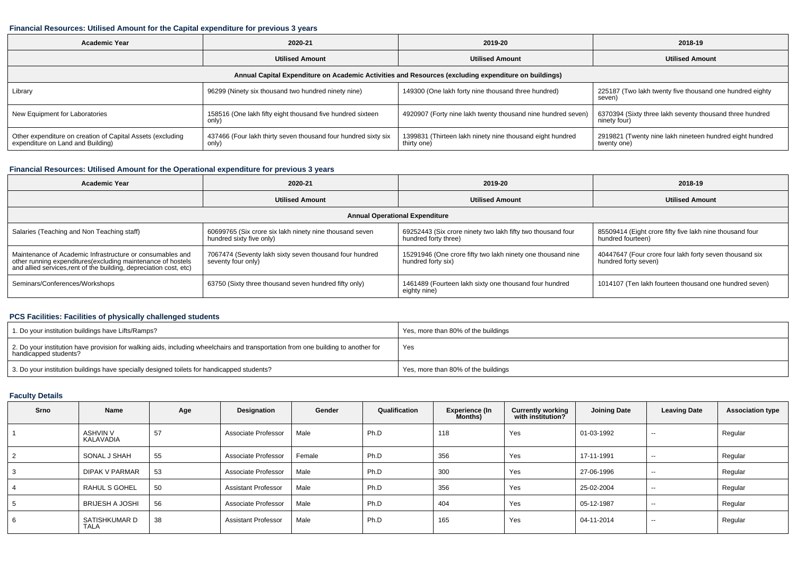#### **Financial Resources: Utilised Amount for the Capital expenditure for previous 3 years**

| Academic Year                                                                                   | 2020-21                                                                 | 2019-20                                                                                              | 2018-19                                                                  |  |
|-------------------------------------------------------------------------------------------------|-------------------------------------------------------------------------|------------------------------------------------------------------------------------------------------|--------------------------------------------------------------------------|--|
| <b>Utilised Amount</b>                                                                          |                                                                         | <b>Utilised Amount</b>                                                                               | <b>Utilised Amount</b>                                                   |  |
|                                                                                                 |                                                                         | Annual Capital Expenditure on Academic Activities and Resources (excluding expenditure on buildings) |                                                                          |  |
| Library                                                                                         | 96299 (Ninety six thousand two hundred ninety nine)                     | 149300 (One lakh forty nine thousand three hundred)                                                  | 225187 (Two lakh twenty five thousand one hundred eighty<br>seven)       |  |
| New Equipment for Laboratories                                                                  | 158516 (One lakh fifty eight thousand five hundred sixteen<br>only)     | 4920907 (Forty nine lakh twenty thousand nine hundred seven)                                         | 6370394 (Sixty three lakh seventy thousand three hundred<br>ninety four) |  |
| Other expenditure on creation of Capital Assets (excluding<br>expenditure on Land and Building) | 437466 (Four lakh thirty seven thousand four hundred sixty six<br>only) | 1399831 (Thirteen lakh ninety nine thousand eight hundred<br>thirty one)                             | 2919821 (Twenty nine lakh nineteen hundred eight hundred<br>twenty one)  |  |

## **Financial Resources: Utilised Amount for the Operational expenditure for previous 3 years**

| Academic Year                                                                                                                                                                                   | 2020-21                                                                             | 2019-20                                                                             | 2018-19                                                                         |
|-------------------------------------------------------------------------------------------------------------------------------------------------------------------------------------------------|-------------------------------------------------------------------------------------|-------------------------------------------------------------------------------------|---------------------------------------------------------------------------------|
|                                                                                                                                                                                                 | <b>Utilised Amount</b>                                                              | <b>Utilised Amount</b>                                                              | <b>Utilised Amount</b>                                                          |
|                                                                                                                                                                                                 |                                                                                     | <b>Annual Operational Expenditure</b>                                               |                                                                                 |
| Salaries (Teaching and Non Teaching staff)                                                                                                                                                      | 60699765 (Six crore six lakh ninety nine thousand seven<br>hundred sixty five only) | 69252443 (Six crore ninety two lakh fifty two thousand four<br>hundred forty three) | 85509414 (Eight crore fifty five lakh nine thousand four<br>hundred fourteen)   |
| Maintenance of Academic Infrastructure or consumables and<br>other running expenditures (excluding maintenance of hostels<br>and allied services, rent of the building, depreciation cost, etc) | 7067474 (Seventy lakh sixty seven thousand four hundred<br>seventy four only)       | 15291946 (One crore fifty two lakh ninety one thousand nine<br>hundred forty six)   | 40447647 (Four crore four lakh forty seven thousand six<br>hundred forty seven) |
| Seminars/Conferences/Workshops                                                                                                                                                                  | 63750 (Sixty three thousand seven hundred fifty only)                               | 1461489 (Fourteen lakh sixty one thousand four hundred<br>eighty nine)              | 1014107 (Ten lakh fourteen thousand one hundred seven)                          |

### **PCS Facilities: Facilities of physically challenged students**

| 1. Do your institution buildings have Lifts/Ramps?                                                                                                         | Yes, more than 80% of the buildings |
|------------------------------------------------------------------------------------------------------------------------------------------------------------|-------------------------------------|
| 2. Do your institution have provision for walking aids, including wheelchairs and transportation from one building to another for<br>handicapped students? | Yes                                 |
| 3. Do your institution buildings have specially designed toilets for handicapped students?                                                                 | Yes, more than 80% of the buildings |

## **Faculty Details**

| Srno           | <b>Name</b>                  | Age | Designation                | Gender | Qualification | Experience (In<br>Months) | <b>Currently working</b><br>with institution? | <b>Joining Date</b> | <b>Leaving Date</b> | <b>Association type</b> |
|----------------|------------------------------|-----|----------------------------|--------|---------------|---------------------------|-----------------------------------------------|---------------------|---------------------|-------------------------|
|                | <b>ASHVIN V</b><br>KALAVADIA | 57  | Associate Professor        | Male   | Ph.D          | 118                       | Yes                                           | 01-03-1992          | $\sim$ $\sim$       | Regular                 |
| $\overline{2}$ | SONAL J SHAH                 | 55  | Associate Professor        | Female | Ph.D          | 356                       | Yes                                           | 17-11-1991          | $- -$               | Regular                 |
| 3              | <b>DIPAK V PARMAR</b>        | 53  | Associate Professor        | Male   | Ph.D          | 300                       | Yes                                           | 27-06-1996          | $-$                 | Regular                 |
| 4              | RAHUL S GOHEL                | 50  | <b>Assistant Professor</b> | Male   | Ph.D          | 356                       | Yes                                           | 25-02-2004          | $- -$               | Regular                 |
| 5              | <b>BRIJESH A JOSHI</b>       | 56  | Associate Professor        | Male   | Ph.D          | 404                       | Yes                                           | 05-12-1987          | $\sim$              | Regular                 |
| 6              | SATISHKUMAR D<br><b>TALA</b> | 38  | <b>Assistant Professor</b> | Male   | Ph.D          | 165                       | Yes                                           | 04-11-2014          | $-$                 | Regular                 |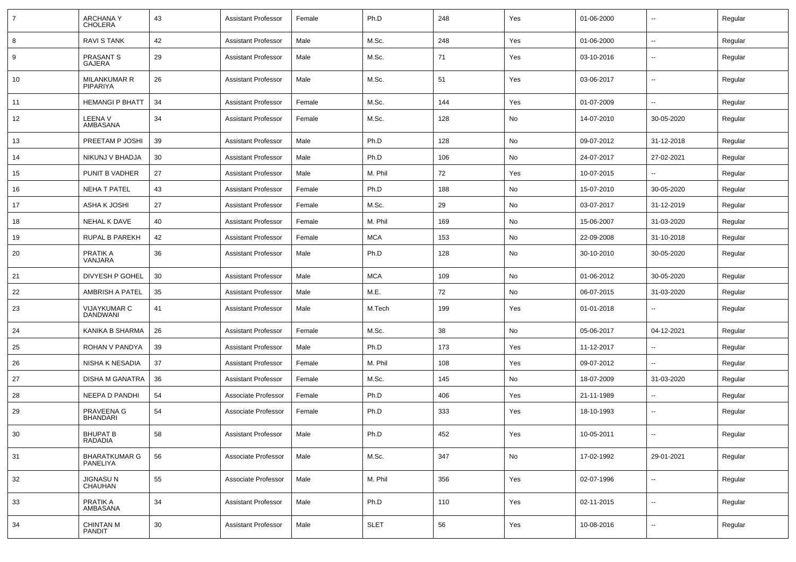| 7  | <b>ARCHANAY</b><br><b>CHOLERA</b>      | 43 | <b>Assistant Professor</b> | Female | Ph.D        | 248 | Yes | 01-06-2000 | $\overline{\phantom{a}}$ | Regular |
|----|----------------------------------------|----|----------------------------|--------|-------------|-----|-----|------------|--------------------------|---------|
| 8  | <b>RAVI S TANK</b>                     | 42 | <b>Assistant Professor</b> | Male   | M.Sc.       | 248 | Yes | 01-06-2000 | $\overline{\phantom{a}}$ | Regular |
| 9  | PRASANT S<br>GAJERA                    | 29 | <b>Assistant Professor</b> | Male   | M.Sc.       | 71  | Yes | 03-10-2016 | --                       | Regular |
| 10 | <b>MILANKUMAR R</b><br><b>PIPARIYA</b> | 26 | <b>Assistant Professor</b> | Male   | M.Sc.       | 51  | Yes | 03-06-2017 | $\overline{\phantom{a}}$ | Regular |
| 11 | <b>HEMANGI P BHATT</b>                 | 34 | <b>Assistant Professor</b> | Female | M.Sc.       | 144 | Yes | 01-07-2009 | $\overline{\phantom{a}}$ | Regular |
| 12 | LEENA V<br>AMBASANA                    | 34 | <b>Assistant Professor</b> | Female | M.Sc.       | 128 | No  | 14-07-2010 | 30-05-2020               | Regular |
| 13 | PREETAM P JOSHI                        | 39 | <b>Assistant Professor</b> | Male   | Ph.D        | 128 | No  | 09-07-2012 | 31-12-2018               | Regular |
| 14 | NIKUNJ V BHADJA                        | 30 | <b>Assistant Professor</b> | Male   | Ph.D        | 106 | No  | 24-07-2017 | 27-02-2021               | Regular |
| 15 | PUNIT B VADHER                         | 27 | <b>Assistant Professor</b> | Male   | M. Phil     | 72  | Yes | 10-07-2015 | $\overline{\phantom{a}}$ | Regular |
| 16 | <b>NEHA T PATEL</b>                    | 43 | <b>Assistant Professor</b> | Female | Ph.D        | 188 | No  | 15-07-2010 | 30-05-2020               | Regular |
| 17 | ASHA K JOSHI                           | 27 | <b>Assistant Professor</b> | Female | M.Sc.       | 29  | No  | 03-07-2017 | 31-12-2019               | Regular |
| 18 | NEHAL K DAVE                           | 40 | <b>Assistant Professor</b> | Female | M. Phil     | 169 | No  | 15-06-2007 | 31-03-2020               | Regular |
| 19 | RUPAL B PAREKH                         | 42 | <b>Assistant Professor</b> | Female | MCA         | 153 | No  | 22-09-2008 | 31-10-2018               | Regular |
| 20 | PRATIK A<br>VANJARA                    | 36 | <b>Assistant Professor</b> | Male   | Ph.D        | 128 | No  | 30-10-2010 | 30-05-2020               | Regular |
| 21 | DIVYESH P GOHEL                        | 30 | <b>Assistant Professor</b> | Male   | <b>MCA</b>  | 109 | No  | 01-06-2012 | 30-05-2020               | Regular |
| 22 | <b>AMBRISH A PATEL</b>                 | 35 | <b>Assistant Professor</b> | Male   | M.E.        | 72  | No  | 06-07-2015 | 31-03-2020               | Regular |
| 23 | <b>VIJAYKUMAR C</b><br>DANDWANI        | 41 | <b>Assistant Professor</b> | Male   | M.Tech      | 199 | Yes | 01-01-2018 | --                       | Regular |
| 24 | KANIKA B SHARMA                        | 26 | <b>Assistant Professor</b> | Female | M.Sc.       | 38  | No  | 05-06-2017 | 04-12-2021               | Regular |
| 25 | ROHAN V PANDYA                         | 39 | <b>Assistant Professor</b> | Male   | Ph.D        | 173 | Yes | 11-12-2017 |                          | Regular |
| 26 | NISHA K NESADIA                        | 37 | <b>Assistant Professor</b> | Female | M. Phil     | 108 | Yes | 09-07-2012 | $\overline{\phantom{a}}$ | Regular |
| 27 | <b>DISHA M GANATRA</b>                 | 36 | <b>Assistant Professor</b> | Female | M.Sc.       | 145 | No  | 18-07-2009 | 31-03-2020               | Regular |
| 28 | <b>NEEPA D PANDHI</b>                  | 54 | Associate Professor        | Female | Ph.D        | 406 | Yes | 21-11-1989 | --                       | Regular |
| 29 | PRAVEENA G<br><b>BHANDARI</b>          | 54 | Associate Professor        | Female | Ph.D        | 333 | Yes | 18-10-1993 | $\overline{\phantom{a}}$ | Regular |
| 30 | <b>BHUPAT B</b><br>RADADIA             | 58 | <b>Assistant Professor</b> | Male   | Ph.D        | 452 | Yes | 10-05-2011 |                          | Regular |
| 31 | <b>BHARATKUMAR G</b><br>PANELIYA       | 56 | Associate Professor        | Male   | M.Sc.       | 347 | No  | 17-02-1992 | 29-01-2021               | Regular |
| 32 | JIGNASU N<br>CHAUHAN                   | 55 | Associate Professor        | Male   | M. Phil     | 356 | Yes | 02-07-1996 | Ц.                       | Regular |
| 33 | PRATIK A<br>AMBASANA                   | 34 | <b>Assistant Professor</b> | Male   | Ph.D        | 110 | Yes | 02-11-2015 | Ξ.                       | Regular |
| 34 | <b>CHINTAN M</b><br>PANDIT             | 30 | <b>Assistant Professor</b> | Male   | <b>SLET</b> | 56  | Yes | 10-08-2016 | Ξ.                       | Regular |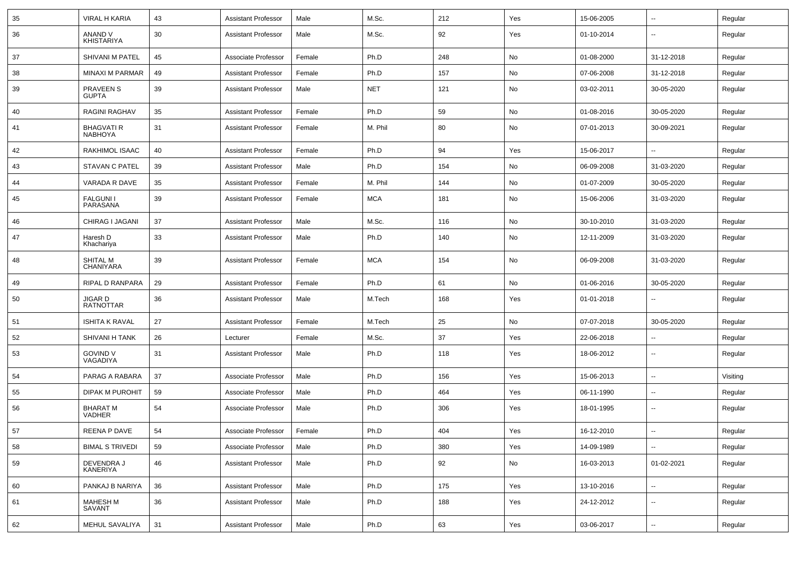| 35 | VIRAL H KARIA                       | 43 | <b>Assistant Professor</b> | Male   | M.Sc.      | 212 | Yes | 15-06-2005 | ⊷.                       | Regular  |
|----|-------------------------------------|----|----------------------------|--------|------------|-----|-----|------------|--------------------------|----------|
| 36 | ANAND V<br><b>KHISTARIYA</b>        | 30 | <b>Assistant Professor</b> | Male   | M.Sc.      | 92  | Yes | 01-10-2014 | $\overline{\phantom{a}}$ | Regular  |
| 37 | SHIVANI M PATEL                     | 45 | Associate Professor        | Female | Ph.D       | 248 | No  | 01-08-2000 | 31-12-2018               | Regular  |
| 38 | MINAXI M PARMAR                     | 49 | <b>Assistant Professor</b> | Female | Ph.D       | 157 | No  | 07-06-2008 | 31-12-2018               | Regular  |
| 39 | <b>PRAVEEN S</b><br><b>GUPTA</b>    | 39 | <b>Assistant Professor</b> | Male   | <b>NET</b> | 121 | No  | 03-02-2011 | 30-05-2020               | Regular  |
| 40 | <b>RAGINI RAGHAV</b>                | 35 | <b>Assistant Professor</b> | Female | Ph.D       | 59  | No  | 01-08-2016 | 30-05-2020               | Regular  |
| 41 | <b>BHAGVATI R</b><br><b>NABHOYA</b> | 31 | <b>Assistant Professor</b> | Female | M. Phil    | 80  | No  | 07-01-2013 | 30-09-2021               | Regular  |
| 42 | RAKHIMOL ISAAC                      | 40 | <b>Assistant Professor</b> | Female | Ph.D       | 94  | Yes | 15-06-2017 | $\overline{a}$           | Regular  |
| 43 | <b>STAVAN C PATEL</b>               | 39 | <b>Assistant Professor</b> | Male   | Ph.D       | 154 | No  | 06-09-2008 | 31-03-2020               | Regular  |
| 44 | VARADA R DAVE                       | 35 | <b>Assistant Professor</b> | Female | M. Phil    | 144 | No  | 01-07-2009 | 30-05-2020               | Regular  |
| 45 | <b>FALGUNII</b><br>PARASANA         | 39 | <b>Assistant Professor</b> | Female | MCA        | 181 | No  | 15-06-2006 | 31-03-2020               | Regular  |
| 46 | CHIRAG I JAGANI                     | 37 | <b>Assistant Professor</b> | Male   | M.Sc.      | 116 | No  | 30-10-2010 | 31-03-2020               | Regular  |
| 47 | Haresh D<br>Khachariya              | 33 | <b>Assistant Professor</b> | Male   | Ph.D       | 140 | No  | 12-11-2009 | 31-03-2020               | Regular  |
| 48 | <b>SHITAL M</b><br>CHANIYARA        | 39 | <b>Assistant Professor</b> | Female | <b>MCA</b> | 154 | No  | 06-09-2008 | 31-03-2020               | Regular  |
| 49 | <b>RIPAL D RANPARA</b>              | 29 | <b>Assistant Professor</b> | Female | Ph.D       | 61  | No  | 01-06-2016 | 30-05-2020               | Regular  |
| 50 | JIGAR D<br><b>RATNOTTAR</b>         | 36 | <b>Assistant Professor</b> | Male   | M.Tech     | 168 | Yes | 01-01-2018 |                          | Regular  |
| 51 | <b>ISHITA K RAVAL</b>               | 27 | <b>Assistant Professor</b> | Female | M.Tech     | 25  | No  | 07-07-2018 | 30-05-2020               | Regular  |
| 52 | <b>SHIVANI H TANK</b>               | 26 | Lecturer                   | Female | M.Sc.      | 37  | Yes | 22-06-2018 | $\overline{a}$           | Regular  |
| 53 | <b>GOVIND V</b><br>VAGADIYA         | 31 | <b>Assistant Professor</b> | Male   | Ph.D       | 118 | Yes | 18-06-2012 | --                       | Regular  |
| 54 | PARAG A RABARA                      | 37 | Associate Professor        | Male   | Ph.D       | 156 | Yes | 15-06-2013 | $\overline{\phantom{a}}$ | Visiting |
| 55 | <b>DIPAK M PUROHIT</b>              | 59 | Associate Professor        | Male   | Ph.D       | 464 | Yes | 06-11-1990 | н.                       | Regular  |
| 56 | <b>BHARAT M</b><br><b>VADHER</b>    | 54 | Associate Professor        | Male   | Ph.D       | 306 | Yes | 18-01-1995 | $\overline{\phantom{a}}$ | Regular  |
| 57 | <b>REENA P DAVE</b>                 | 54 | Associate Professor        | Female | Ph.D       | 404 | Yes | 16-12-2010 | $\overline{\phantom{a}}$ | Regular  |
| 58 | <b>BIMAL S TRIVEDI</b>              | 59 | Associate Professor        | Male   | Ph.D       | 380 | Yes | 14-09-1989 | ш,                       | Regular  |
| 59 | DEVENDRA J<br>KANERIYA              | 46 | <b>Assistant Professor</b> | Male   | Ph.D       | 92  | No  | 16-03-2013 | 01-02-2021               | Regular  |
| 60 | PANKAJ B NARIYA                     | 36 | <b>Assistant Professor</b> | Male   | Ph.D       | 175 | Yes | 13-10-2016 | $\overline{\phantom{a}}$ | Regular  |
| 61 | <b>MAHESH M</b><br>SAVANT           | 36 | <b>Assistant Professor</b> | Male   | Ph.D       | 188 | Yes | 24-12-2012 | $\sim$                   | Regular  |
| 62 | MEHUL SAVALIYA                      | 31 | <b>Assistant Professor</b> | Male   | Ph.D       | 63  | Yes | 03-06-2017 | $\overline{\phantom{a}}$ | Regular  |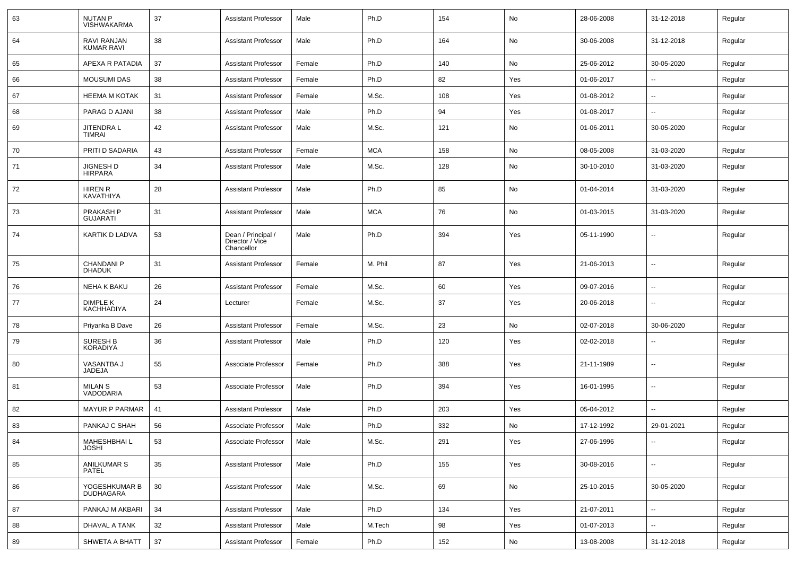| 63 | <b>NUTAN P</b><br><b>VISHWAKARMA</b> | 37 | <b>Assistant Professor</b>                          | Male   | Ph.D       | 154 | No  | 28-06-2008 | 31-12-2018               | Regular |
|----|--------------------------------------|----|-----------------------------------------------------|--------|------------|-----|-----|------------|--------------------------|---------|
| 64 | RAVI RANJAN<br><b>KUMAR RAVI</b>     | 38 | <b>Assistant Professor</b>                          | Male   | Ph.D       | 164 | No  | 30-06-2008 | 31-12-2018               | Regular |
| 65 | APEXA R PATADIA                      | 37 | <b>Assistant Professor</b>                          | Female | Ph.D       | 140 | No  | 25-06-2012 | 30-05-2020               | Regular |
| 66 | <b>MOUSUMI DAS</b>                   | 38 | <b>Assistant Professor</b>                          | Female | Ph.D       | 82  | Yes | 01-06-2017 | $\overline{\phantom{a}}$ | Regular |
| 67 | <b>HEEMA M KOTAK</b>                 | 31 | <b>Assistant Professor</b>                          | Female | M.Sc.      | 108 | Yes | 01-08-2012 |                          | Regular |
| 68 | PARAG D AJANI                        | 38 | <b>Assistant Professor</b>                          | Male   | Ph.D       | 94  | Yes | 01-08-2017 |                          | Regular |
| 69 | JITENDRA L<br>TIMRAI                 | 42 | <b>Assistant Professor</b>                          | Male   | M.Sc.      | 121 | No  | 01-06-2011 | 30-05-2020               | Regular |
| 70 | PRITI D SADARIA                      | 43 | <b>Assistant Professor</b>                          | Female | <b>MCA</b> | 158 | No  | 08-05-2008 | 31-03-2020               | Regular |
| 71 | <b>JIGNESH D</b><br><b>HIRPARA</b>   | 34 | <b>Assistant Professor</b>                          | Male   | M.Sc.      | 128 | No  | 30-10-2010 | 31-03-2020               | Regular |
| 72 | <b>HIREN R</b><br>KAVATHIYA          | 28 | <b>Assistant Professor</b>                          | Male   | Ph.D       | 85  | No  | 01-04-2014 | 31-03-2020               | Regular |
| 73 | PRAKASH P<br><b>GUJARATI</b>         | 31 | <b>Assistant Professor</b>                          | Male   | <b>MCA</b> | 76  | No  | 01-03-2015 | 31-03-2020               | Regular |
| 74 | KARTIK D LADVA                       | 53 | Dean / Principal /<br>Director / Vice<br>Chancellor | Male   | Ph.D       | 394 | Yes | 05-11-1990 |                          | Regular |
| 75 | <b>CHANDANI P</b><br><b>DHADUK</b>   | 31 | <b>Assistant Professor</b>                          | Female | M. Phil    | 87  | Yes | 21-06-2013 |                          | Regular |
| 76 | <b>NEHA K BAKU</b>                   | 26 | Assistant Professor                                 | Female | M.Sc.      | 60  | Yes | 09-07-2016 | --                       | Regular |
| 77 | <b>DIMPLE K</b><br><b>KACHHADIYA</b> | 24 | Lecturer                                            | Female | M.Sc.      | 37  | Yes | 20-06-2018 |                          | Regular |
| 78 | Priyanka B Dave                      | 26 | <b>Assistant Professor</b>                          | Female | M.Sc.      | 23  | No  | 02-07-2018 | 30-06-2020               | Regular |
| 79 | <b>SURESH B</b><br><b>KORADIYA</b>   | 36 | <b>Assistant Professor</b>                          | Male   | Ph.D       | 120 | Yes | 02-02-2018 | $\overline{\phantom{a}}$ | Regular |
| 80 | VASANTBA J<br>JADEJA                 | 55 | Associate Professor                                 | Female | Ph.D       | 388 | Yes | 21-11-1989 | $\overline{\phantom{a}}$ | Regular |
| 81 | <b>MILAN S</b><br>VADODARIA          | 53 | Associate Professor                                 | Male   | Ph.D       | 394 | Yes | 16-01-1995 | $\overline{\phantom{a}}$ | Regular |
| 82 | <b>MAYUR P PARMAR</b>                | 41 | <b>Assistant Professor</b>                          | Male   | Ph.D       | 203 | Yes | 05-04-2012 | $\mathbf{u}$             | Regular |
| 83 | PANKAJ C SHAH                        | 56 | Associate Professor                                 | Male   | Ph.D       | 332 | No  | 17-12-1992 | 29-01-2021               | Regular |
| 84 | MAHESHBHAI L<br><b>JOSHI</b>         | 53 | Associate Professor                                 | Male   | M.Sc.      | 291 | Yes | 27-06-1996 | $\overline{\phantom{a}}$ | Regular |
| 85 | ANILKUMAR S<br>PATEL                 | 35 | <b>Assistant Professor</b>                          | Male   | Ph.D       | 155 | Yes | 30-08-2016 | $\sim$                   | Regular |
| 86 | YOGESHKUMAR B<br>DUDHAGARA           | 30 | <b>Assistant Professor</b>                          | Male   | M.Sc.      | 69  | No  | 25-10-2015 | 30-05-2020               | Regular |
| 87 | PANKAJ M AKBARI                      | 34 | <b>Assistant Professor</b>                          | Male   | Ph.D       | 134 | Yes | 21-07-2011 | $\sim$                   | Regular |
| 88 | DHAVAL A TANK                        | 32 | <b>Assistant Professor</b>                          | Male   | M.Tech     | 98  | Yes | 01-07-2013 | $\overline{\phantom{a}}$ | Regular |
| 89 | <b>SHWETA A BHATT</b>                | 37 | <b>Assistant Professor</b>                          | Female | Ph.D       | 152 | No  | 13-08-2008 | 31-12-2018               | Regular |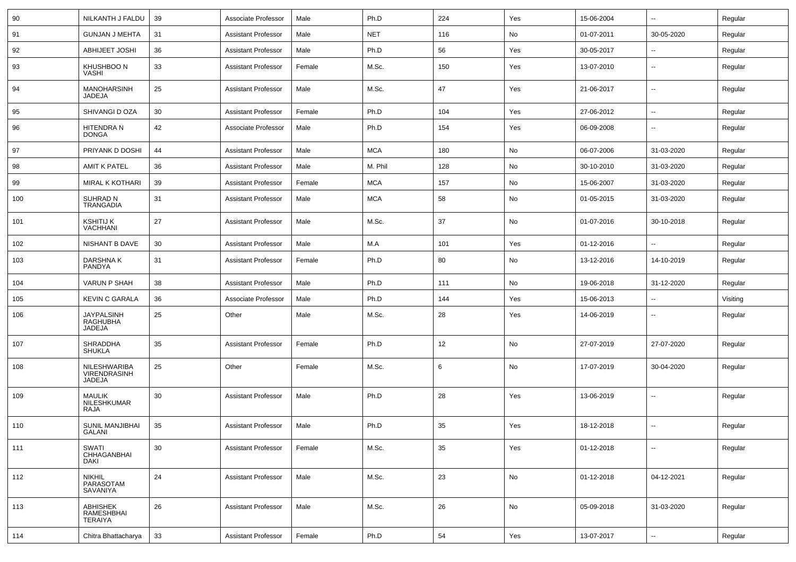| 90  | NILKANTH J FALDU                               | 39 | Associate Professor        | Male   | Ph.D       | 224 | Yes | 15-06-2004 | $\sim$                   | Regular  |
|-----|------------------------------------------------|----|----------------------------|--------|------------|-----|-----|------------|--------------------------|----------|
| 91  | <b>GUNJAN J MEHTA</b>                          | 31 | <b>Assistant Professor</b> | Male   | <b>NET</b> | 116 | No  | 01-07-2011 | 30-05-2020               | Regular  |
| 92  | <b>ABHIJEET JOSHI</b>                          | 36 | <b>Assistant Professor</b> | Male   | Ph.D       | 56  | Yes | 30-05-2017 |                          | Regular  |
| 93  | KHUSHBOO N<br>VASHI                            | 33 | <b>Assistant Professor</b> | Female | M.Sc.      | 150 | Yes | 13-07-2010 | $\overline{\phantom{a}}$ | Regular  |
| 94  | <b>MANOHARSINH</b><br>JADEJA                   | 25 | <b>Assistant Professor</b> | Male   | M.Sc.      | 47  | Yes | 21-06-2017 | $\overline{\phantom{a}}$ | Regular  |
| 95  | SHIVANGI D OZA                                 | 30 | <b>Assistant Professor</b> | Female | Ph.D       | 104 | Yes | 27-06-2012 | $\overline{\phantom{a}}$ | Regular  |
| 96  | HITENDRA N<br><b>DONGA</b>                     | 42 | Associate Professor        | Male   | Ph.D       | 154 | Yes | 06-09-2008 | --                       | Regular  |
| 97  | PRIYANK D DOSHI                                | 44 | <b>Assistant Professor</b> | Male   | <b>MCA</b> | 180 | No  | 06-07-2006 | 31-03-2020               | Regular  |
| 98  | <b>AMIT K PATEL</b>                            | 36 | <b>Assistant Professor</b> | Male   | M. Phil    | 128 | No  | 30-10-2010 | 31-03-2020               | Regular  |
| 99  | MIRAL K KOTHARI                                | 39 | <b>Assistant Professor</b> | Female | <b>MCA</b> | 157 | No  | 15-06-2007 | 31-03-2020               | Regular  |
| 100 | <b>SUHRAD N</b><br><b>TRANGADIA</b>            | 31 | Assistant Professor        | Male   | <b>MCA</b> | 58  | No  | 01-05-2015 | 31-03-2020               | Regular  |
| 101 | <b>KSHITIJ K</b><br><b>VACHHANI</b>            | 27 | <b>Assistant Professor</b> | Male   | M.Sc.      | 37  | No  | 01-07-2016 | 30-10-2018               | Regular  |
| 102 | <b>NISHANT B DAVE</b>                          | 30 | <b>Assistant Professor</b> | Male   | M.A        | 101 | Yes | 01-12-2016 | $\overline{\phantom{a}}$ | Regular  |
| 103 | DARSHNAK<br>PANDYA                             | 31 | <b>Assistant Professor</b> | Female | Ph.D       | 80  | No  | 13-12-2016 | 14-10-2019               | Regular  |
| 104 | VARUN P SHAH                                   | 38 | <b>Assistant Professor</b> | Male   | Ph.D       | 111 | No  | 19-06-2018 | 31-12-2020               | Regular  |
| 105 | <b>KEVIN C GARALA</b>                          | 36 | Associate Professor        | Male   | Ph.D       | 144 | Yes | 15-06-2013 |                          | Visiting |
| 106 | <b>JAYPALSINH</b><br><b>RAGHUBHA</b><br>JADEJA | 25 | Other                      | Male   | M.Sc.      | 28  | Yes | 14-06-2019 | --                       | Regular  |
| 107 | <b>SHRADDHA</b><br><b>SHUKLA</b>               | 35 | <b>Assistant Professor</b> | Female | Ph.D       | 12  | No  | 27-07-2019 | 27-07-2020               | Regular  |
| 108 | NILESHWARIBA<br>VIRENDRASINH<br><b>JADEJA</b>  | 25 | Other                      | Female | M.Sc.      | 6   | No  | 17-07-2019 | 30-04-2020               | Regular  |
| 109 | <b>MAULIK</b><br><b>NILESHKUMAR</b><br>RAJA    | 30 | Assistant Professor        | Male   | Ph.D       | 28  | Yes | 13-06-2019 | --                       | Regular  |
| 110 | SUNIL MANJIBHAI<br>GALANI                      | 35 | <b>Assistant Professor</b> | Male   | Ph.D       | 35  | Yes | 18-12-2018 |                          | Regular  |
| 111 | SWATI<br>CHHAGANBHAI<br>DAKI                   | 30 | <b>Assistant Professor</b> | Female | M.Sc.      | 35  | Yes | 01-12-2018 | $\sim$                   | Regular  |
| 112 | <b>NIKHIL</b><br>PARASOTAM<br>SAVANIYA         | 24 | <b>Assistant Professor</b> | Male   | M.Sc.      | 23  | No  | 01-12-2018 | 04-12-2021               | Regular  |
| 113 | ABHISHEK<br>RAMESHBHAI<br><b>TERAIYA</b>       | 26 | <b>Assistant Professor</b> | Male   | M.Sc.      | 26  | No  | 05-09-2018 | 31-03-2020               | Regular  |
| 114 | Chitra Bhattacharya                            | 33 | <b>Assistant Professor</b> | Female | Ph.D       | 54  | Yes | 13-07-2017 | $\sim$                   | Regular  |